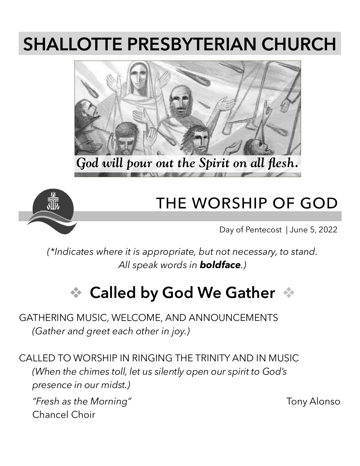# **SHALLOTTE PRESBYTERIAN CHURCH**





### **THE WORSHIP OF GOD**

Day of Pentecost | June 5, 2022

*(\*Indicates where it is appropriate, but not necessary, to stand. All speak words in boldface.)*

# **↓ Called by God We Gather**

GATHERING MUSIC, WELCOME, AND ANNOUNCEMENTS *(Gather and greet each other in joy.)*

CALLED TO WORSHIP IN RINGING THE TRINITY AND IN MUSIC *(When the chimes toll, let us silently open our spirit to God's presence in our midst.)*

*"Fresh as the Morning"* Tony Alonso Chancel Choir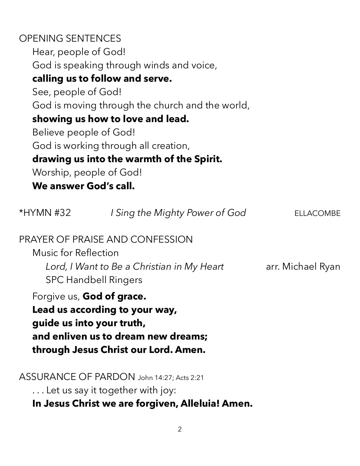#### OPENING SENTENCES Hear, people of God! God is speaking through winds and voice, **calling us to follow and serve.** See, people of God! God is moving through the church and the world, **showing us how to love and lead.** Believe people of God! God is working through all creation, **drawing us into the warmth of the Spirit.** Worship, people of God! **We answer God's call.**

| $*$ HYMN #32                | I Sing the Mighty Power of God                                                                                                                                          | .LACOMBE          |
|-----------------------------|-------------------------------------------------------------------------------------------------------------------------------------------------------------------------|-------------------|
| <b>Music for Reflection</b> | <b>PRAYER OF PRAISE AND CONFESSION</b><br>Lord, I Want to Be a Christian in My Heart<br><b>SPC Handbell Ringers</b>                                                     | arr. Michael Ryan |
|                             | Forgive us, God of grace.<br>Lead us according to your way,<br>guide us into your truth,<br>and enliven us to dream new dreams;<br>through Jesus Christ our Lord. Amen. |                   |
|                             | ASSURANCE OF PARDON John 14:27; Acts 2:21<br>Let us say it together with joy:                                                                                           |                   |

**In Jesus Christ we are forgiven, Alleluia! Amen.**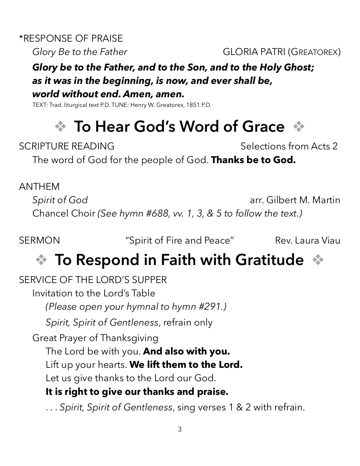\*RESPONSE OF PRAISE

*Glory Be to the Father* **GLORIA PATRI (GREATOREX)** 

#### *Glory be to the Father, and to the Son, and to the Holy Ghost; as it was in the beginning, is now, and ever shall be, world without end. Amen, amen.*

TEXT: Trad. liturgical text P.D. TUNE: Henry W. Greatorex, 1851 P.D.

# ❖ **To Hear God's Word of Grace** ❖

SCRIPTURE READING SCRIPTURE READING

The word of God for the people of God. **Thanks be to God.**

#### ANTHEM

*Spirit of God* arr. Gilbert M. Martin Chancel Choir *(See hymn #688, vv. 1, 3, & 5 to follow the text.)*

SERMON **SERMON** "Spirit of Fire and Peace" Rev. Laura Viau

### ❖ **To Respond in Faith with Gratitude** ❖

SERVICE OF THE LORD'S SUPPER Invitation to the Lord's Table *(Please open your hymnal to hymn #291.) Spirit, Spirit of Gentleness*, refrain only Great Prayer of Thanksgiving The Lord be with you. **And also with you.** Lift up your hearts. **We lift them to the Lord.** Let us give thanks to the Lord our God. **It is right to give our thanks and praise.**

. . . *Spirit, Spirit of Gentleness*, sing verses 1 & 2 with refrain.